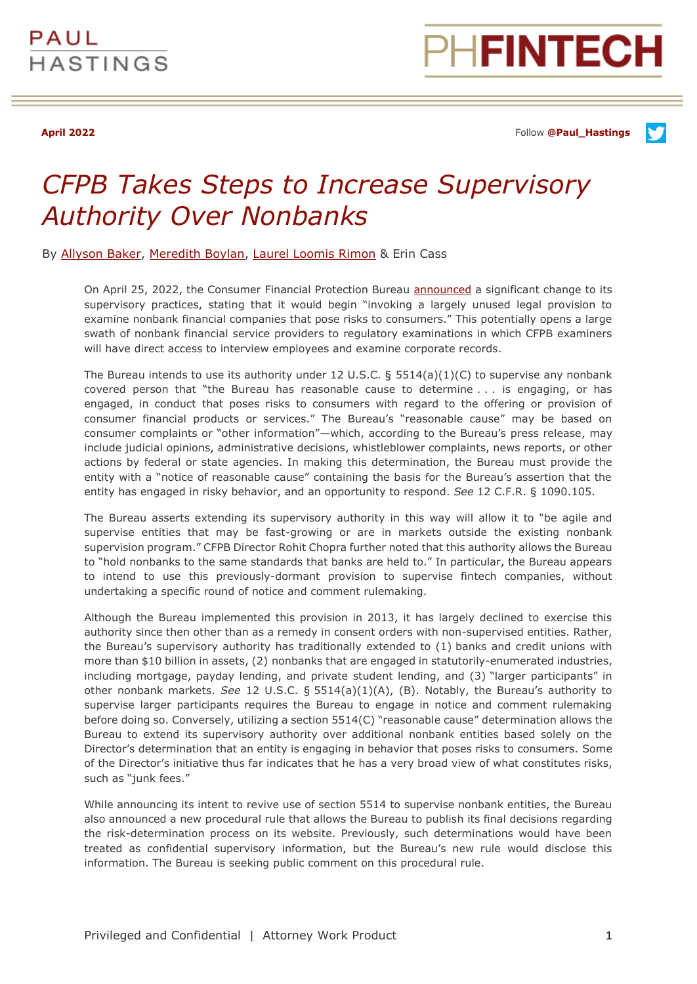

**April 2022** Follow **[@Paul\\_Hastings](http://twitter.com/Paul_Hastings)**

## *CFPB Takes Steps to Increase Supervisory Authority Over Nonbanks*

By [Allyson Baker,](https://www.paulhastings.com/professionals/allysonbaker) [Meredith Boylan,](https://www.paulhastings.com/professionals/meredithboylan) [Laurel Loomis Rimon](https://www.paulhastings.com/professionals/laurelrimon) & Erin Cass

On April 25, 2022, the Consumer Financial Protection Bureau [announced](https://www.consumerfinance.gov/about-us/newsroom/cfpb-invokes-dormant-authority-to-examine-nonbank-companies-posing-risks-to-consumers/) a significant change to its supervisory practices, stating that it would begin "invoking a largely unused legal provision to examine nonbank financial companies that pose risks to consumers." This potentially opens a large swath of nonbank financial service providers to regulatory examinations in which CFPB examiners will have direct access to interview employees and examine corporate records.

The Bureau intends to use its authority under 12 U.S.C.  $\S$  5514(a)(1)(C) to supervise any nonbank covered person that "the Bureau has reasonable cause to determine . . . is engaging, or has engaged, in conduct that poses risks to consumers with regard to the offering or provision of consumer financial products or services." The Bureau's "reasonable cause" may be based on consumer complaints or "other information"—which, according to the Bureau's press release, may include judicial opinions, administrative decisions, whistleblower complaints, news reports, or other actions by federal or state agencies. In making this determination, the Bureau must provide the entity with a "notice of reasonable cause" containing the basis for the Bureau's assertion that the entity has engaged in risky behavior, and an opportunity to respond. *See* 12 C.F.R. § 1090.105.

The Bureau asserts extending its supervisory authority in this way will allow it to "be agile and supervise entities that may be fast-growing or are in markets outside the existing nonbank supervision program." CFPB Director Rohit Chopra further noted that this authority allows the Bureau to "hold nonbanks to the same standards that banks are held to." In particular, the Bureau appears to intend to use this previously-dormant provision to supervise fintech companies, without undertaking a specific round of notice and comment rulemaking.

Although the Bureau implemented this provision in 2013, it has largely declined to exercise this authority since then other than as a remedy in consent orders with non-supervised entities. Rather, the Bureau's supervisory authority has traditionally extended to (1) banks and credit unions with more than \$10 billion in assets, (2) nonbanks that are engaged in statutorily-enumerated industries, including mortgage, payday lending, and private student lending, and (3) "larger participants" in other nonbank markets. *See* 12 U.S.C. § 5514(a)(1)(A), (B). Notably, the Bureau's authority to supervise larger participants requires the Bureau to engage in notice and comment rulemaking before doing so. Conversely, utilizing a section 5514(C) "reasonable cause" determination allows the Bureau to extend its supervisory authority over additional nonbank entities based solely on the Director's determination that an entity is engaging in behavior that poses risks to consumers. Some of the Director's initiative thus far indicates that he has a very broad view of what constitutes risks, such as "junk fees."

While announcing its intent to revive use of section 5514 to supervise nonbank entities, the Bureau also announced a new procedural rule that allows the Bureau to publish its final decisions regarding the risk-determination process on its website. Previously, such determinations would have been treated as confidential supervisory information, but the Bureau's new rule would disclose this information. The Bureau is seeking public comment on this procedural rule.